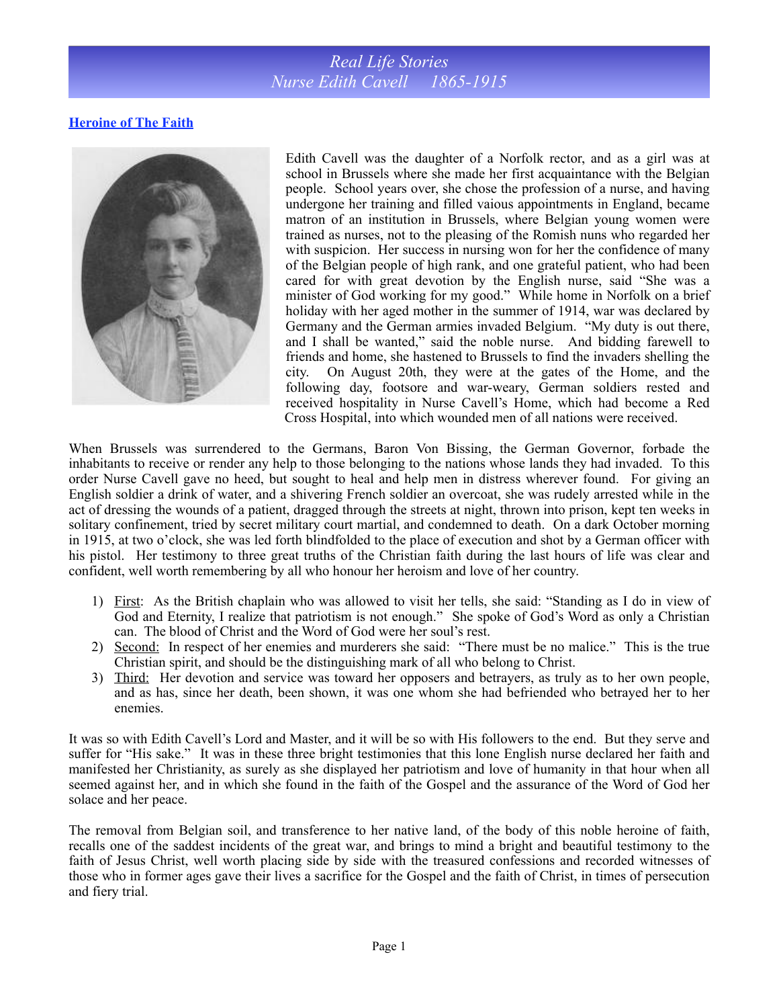## *Real Life Stories Nurse Edith Cavell 1865-1915*

## **Heroine of The Faith**



Edith Cavell was the daughter of a Norfolk rector, and as a girl was at school in Brussels where she made her first acquaintance with the Belgian people. School years over, she chose the profession of a nurse, and having undergone her training and filled vaious appointments in England, became matron of an institution in Brussels, where Belgian young women were trained as nurses, not to the pleasing of the Romish nuns who regarded her with suspicion. Her success in nursing won for her the confidence of many of the Belgian people of high rank, and one grateful patient, who had been cared for with great devotion by the English nurse, said "She was a minister of God working for my good." While home in Norfolk on a brief holiday with her aged mother in the summer of 1914, war was declared by Germany and the German armies invaded Belgium. "My duty is out there, and I shall be wanted," said the noble nurse. And bidding farewell to friends and home, she hastened to Brussels to find the invaders shelling the city. On August 20th, they were at the gates of the Home, and the following day, footsore and war-weary, German soldiers rested and received hospitality in Nurse Cavell's Home, which had become a Red Cross Hospital, into which wounded men of all nations were received.

When Brussels was surrendered to the Germans, Baron Von Bissing, the German Governor, forbade the inhabitants to receive or render any help to those belonging to the nations whose lands they had invaded. To this order Nurse Cavell gave no heed, but sought to heal and help men in distress wherever found. For giving an English soldier a drink of water, and a shivering French soldier an overcoat, she was rudely arrested while in the act of dressing the wounds of a patient, dragged through the streets at night, thrown into prison, kept ten weeks in solitary confinement, tried by secret military court martial, and condemned to death. On a dark October morning in 1915, at two o'clock, she was led forth blindfolded to the place of execution and shot by a German officer with his pistol. Her testimony to three great truths of the Christian faith during the last hours of life was clear and confident, well worth remembering by all who honour her heroism and love of her country.

- 1) First: As the British chaplain who was allowed to visit her tells, she said: "Standing as I do in view of God and Eternity, I realize that patriotism is not enough." She spoke of God's Word as only a Christian can. The blood of Christ and the Word of God were her soul's rest.
- 2) Second: In respect of her enemies and murderers she said: "There must be no malice." This is the true Christian spirit, and should be the distinguishing mark of all who belong to Christ.
- 3) Third: Her devotion and service was toward her opposers and betrayers, as truly as to her own people, and as has, since her death, been shown, it was one whom she had befriended who betrayed her to her enemies.

It was so with Edith Cavell's Lord and Master, and it will be so with His followers to the end. But they serve and suffer for "His sake." It was in these three bright testimonies that this lone English nurse declared her faith and manifested her Christianity, as surely as she displayed her patriotism and love of humanity in that hour when all seemed against her, and in which she found in the faith of the Gospel and the assurance of the Word of God her solace and her peace.

The removal from Belgian soil, and transference to her native land, of the body of this noble heroine of faith, recalls one of the saddest incidents of the great war, and brings to mind a bright and beautiful testimony to the faith of Jesus Christ, well worth placing side by side with the treasured confessions and recorded witnesses of those who in former ages gave their lives a sacrifice for the Gospel and the faith of Christ, in times of persecution and fiery trial.